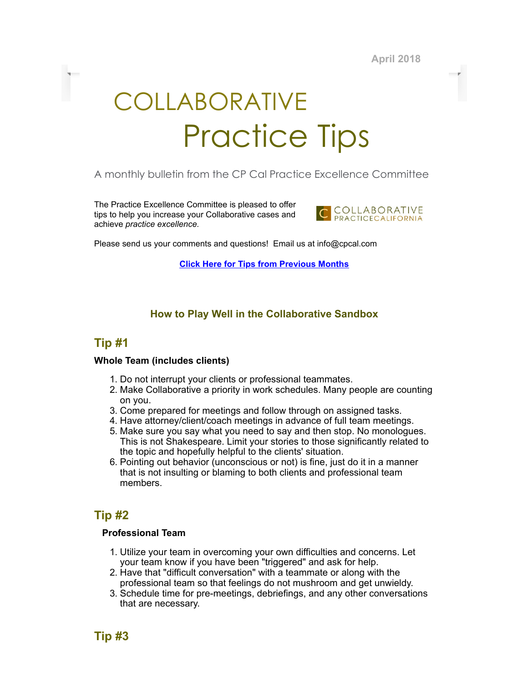April 2018

# COLLABORATIVE Practice Tips

# A monthly bulletin from the CP Cal Practice Excellence Committee

The Practice Excellence Committee is pleased to offer tips to help you increase your Collaborative cases and achieve practice excellence.



Please send us your comments and questions! Email us at info@cpcal.com

Click Here for Tips from [Previous](http://www.cpcal.com/for-professionals/practice-tips-newsletter/) Months

## How to Play Well in the Collaborative Sandbox

## Tip #1

#### Whole Team (includes clients)

- 1. Do not interrupt your clients or professional teammates.
- 2. Make Collaborative a priority in work schedules. Many people are counting on you.
- 3. Come prepared for meetings and follow through on assigned tasks.
- 4. Have attorney/client/coach meetings in advance of full team meetings.
- 5. Make sure you say what you need to say and then stop. No monologues. This is not Shakespeare. Limit your stories to those significantly related to the topic and hopefully helpful to the clients' situation.
- 6. Pointing out behavior (unconscious or not) is fine, just do it in a manner that is not insulting or blaming to both clients and professional team members.

# Tip #2

## Professional Team

- 1. Utilize your team in overcoming your own difficulties and concerns. Let your team know if you have been "triggered" and ask for help.
- 2. Have that "difficult conversation" with a teammate or along with the professional team so that feelings do not mushroom and get unwieldy.
- 3. Schedule time for pre-meetings, debriefings, and any other conversations that are necessary.

Tip #3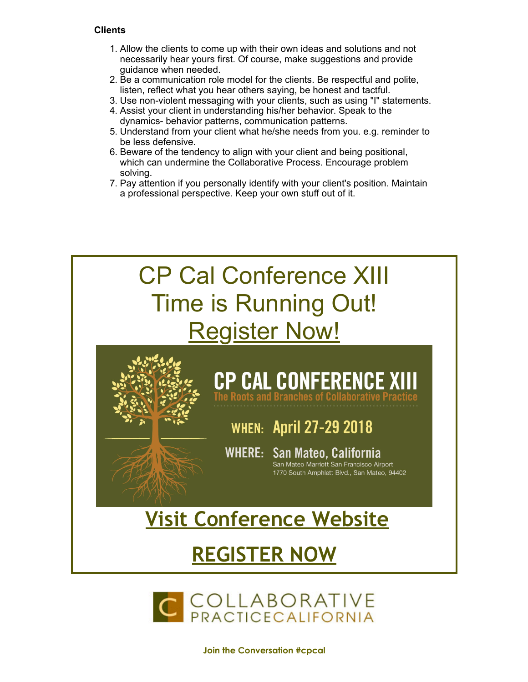## **Clients**

- 1. Allow the clients to come up with their own ideas and solutions and not necessarily hear yours first. Of course, make suggestions and provide guidance when needed.
- 2. Be a communication role model for the clients. Be respectful and polite, listen, reflect what you hear others saying, be honest and tactful.
- 3. Use non-violent messaging with your clients, such as using "I" statements.
- 4. Assist your client in understanding his/her behavior. Speak to the dynamics- behavior patterns, communication patterns.
- 5. Understand from your client what he/she needs from you. e.g. reminder to be less defensive.
- 6. Beware of the tendency to align with your client and being positional, which can undermine the Collaborative Process. Encourage problem solving.
- 7. Pay attention if you personally identify with your client's position. Maintain a professional perspective. Keep your own stuff out of it.





Join the Conversation #cpcal